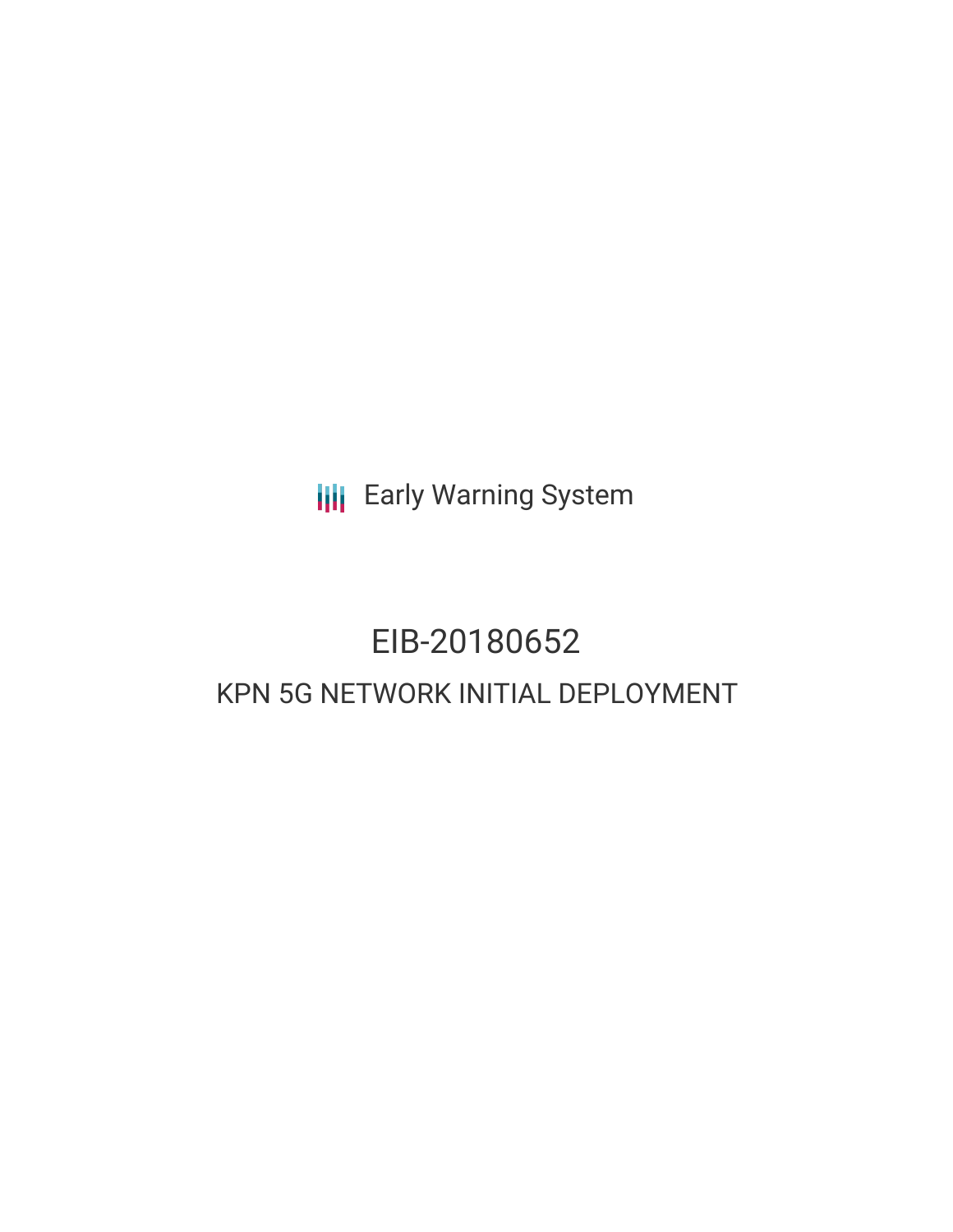**III** Early Warning System

# EIB-20180652 KPN 5G NETWORK INITIAL DEPLOYMENT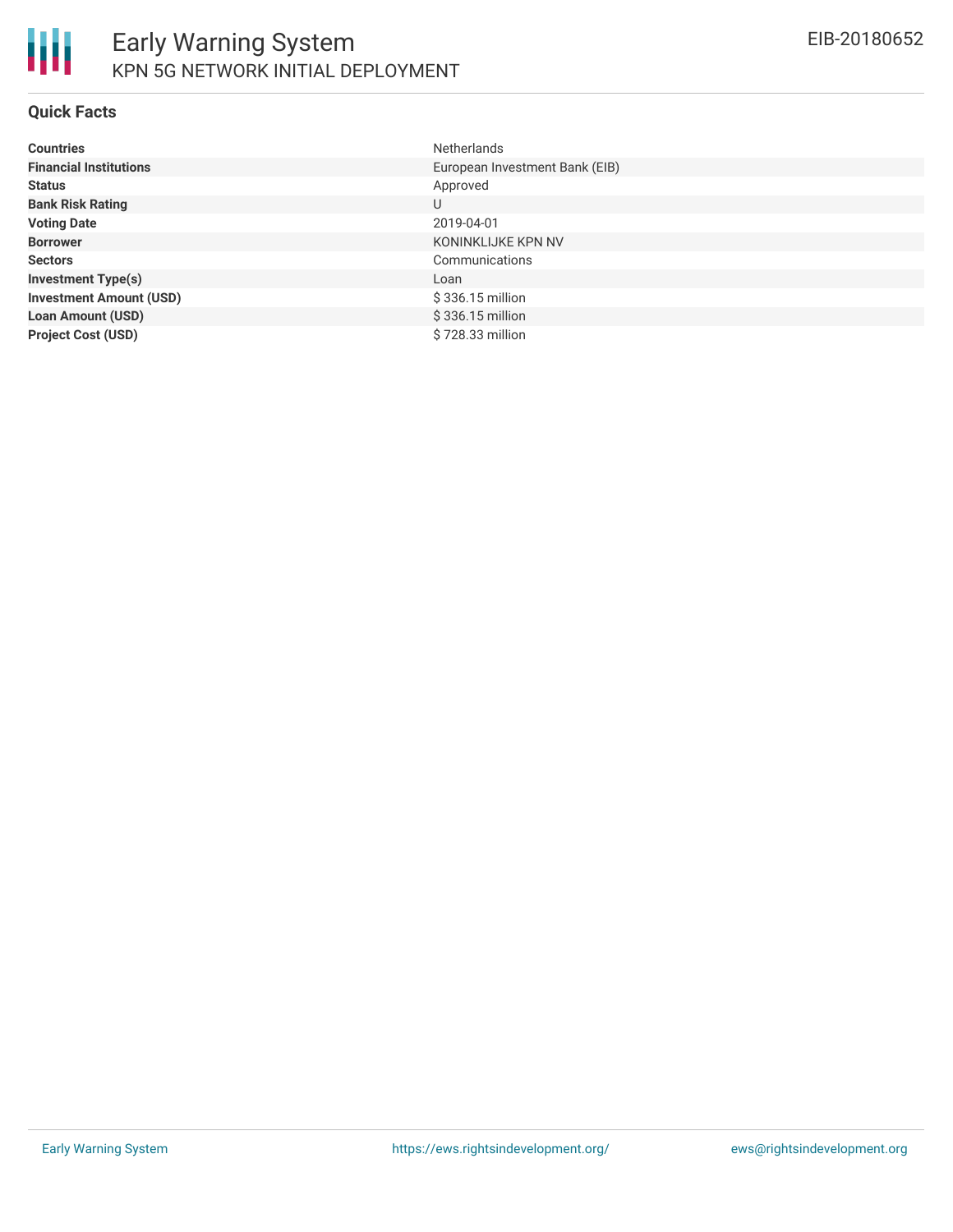

#### **Quick Facts**

| <b>Countries</b>               | <b>Netherlands</b>             |
|--------------------------------|--------------------------------|
| <b>Financial Institutions</b>  | European Investment Bank (EIB) |
| <b>Status</b>                  | Approved                       |
| <b>Bank Risk Rating</b>        | U                              |
| <b>Voting Date</b>             | 2019-04-01                     |
| <b>Borrower</b>                | KONINKLIJKE KPN NV             |
| <b>Sectors</b>                 | Communications                 |
| <b>Investment Type(s)</b>      | Loan                           |
| <b>Investment Amount (USD)</b> | \$336.15 million               |
| <b>Loan Amount (USD)</b>       | \$336.15 million               |
| <b>Project Cost (USD)</b>      | \$728.33 million               |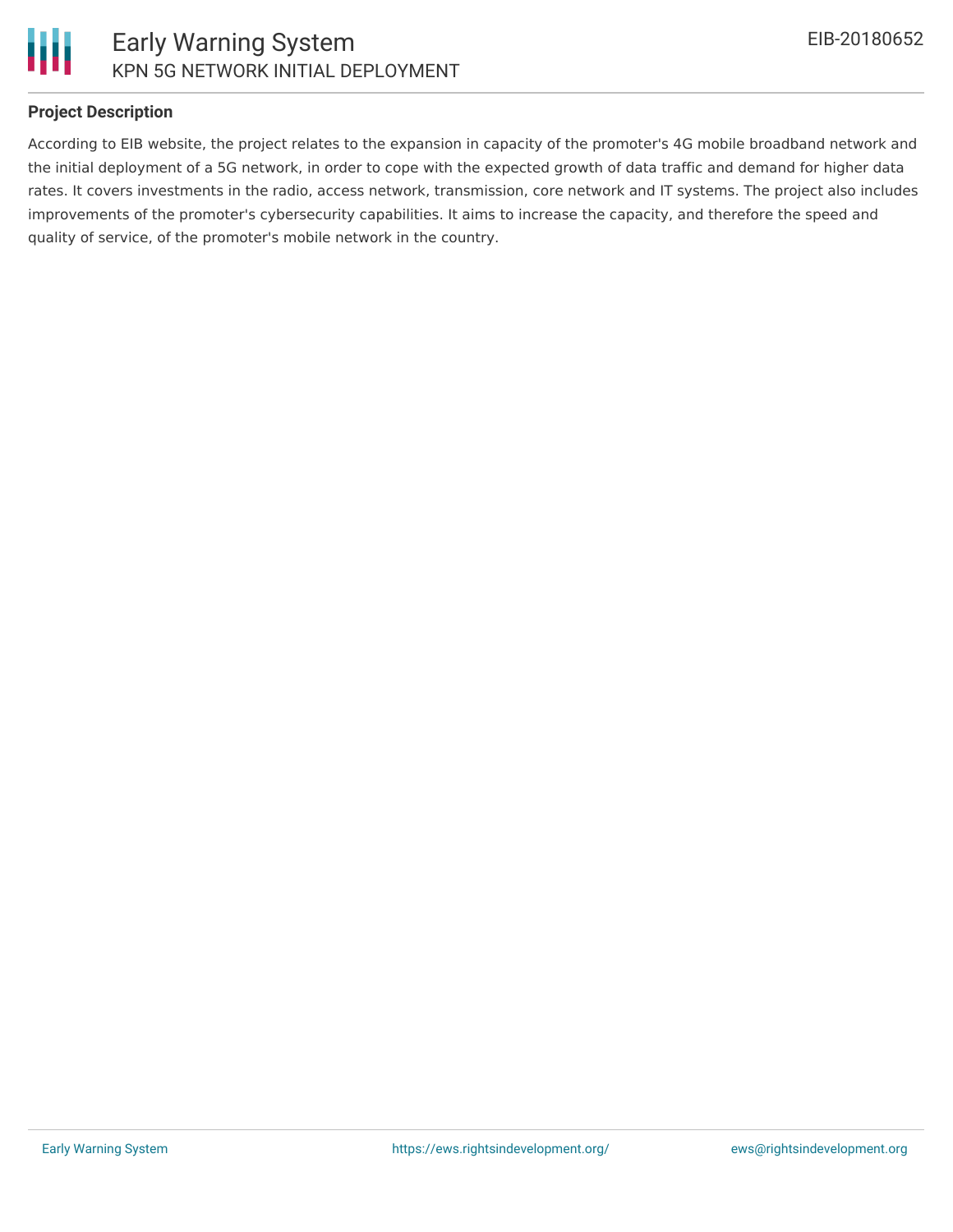

#### **Project Description**

According to EIB website, the project relates to the expansion in capacity of the promoter's 4G mobile broadband network and the initial deployment of a 5G network, in order to cope with the expected growth of data traffic and demand for higher data rates. It covers investments in the radio, access network, transmission, core network and IT systems. The project also includes improvements of the promoter's cybersecurity capabilities. It aims to increase the capacity, and therefore the speed and quality of service, of the promoter's mobile network in the country.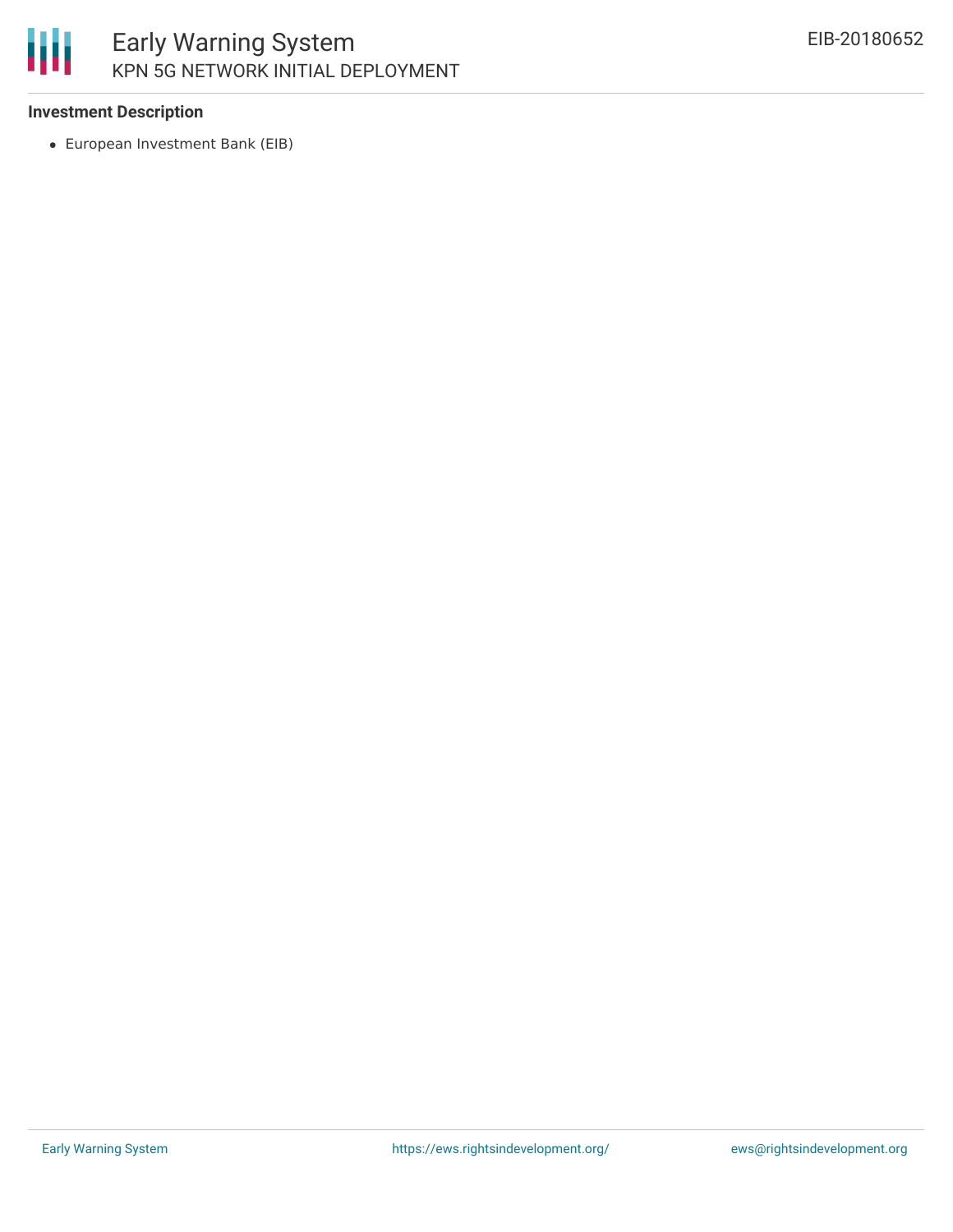

## Early Warning System KPN 5G NETWORK INITIAL DEPLOYMENT

#### **Investment Description**

European Investment Bank (EIB)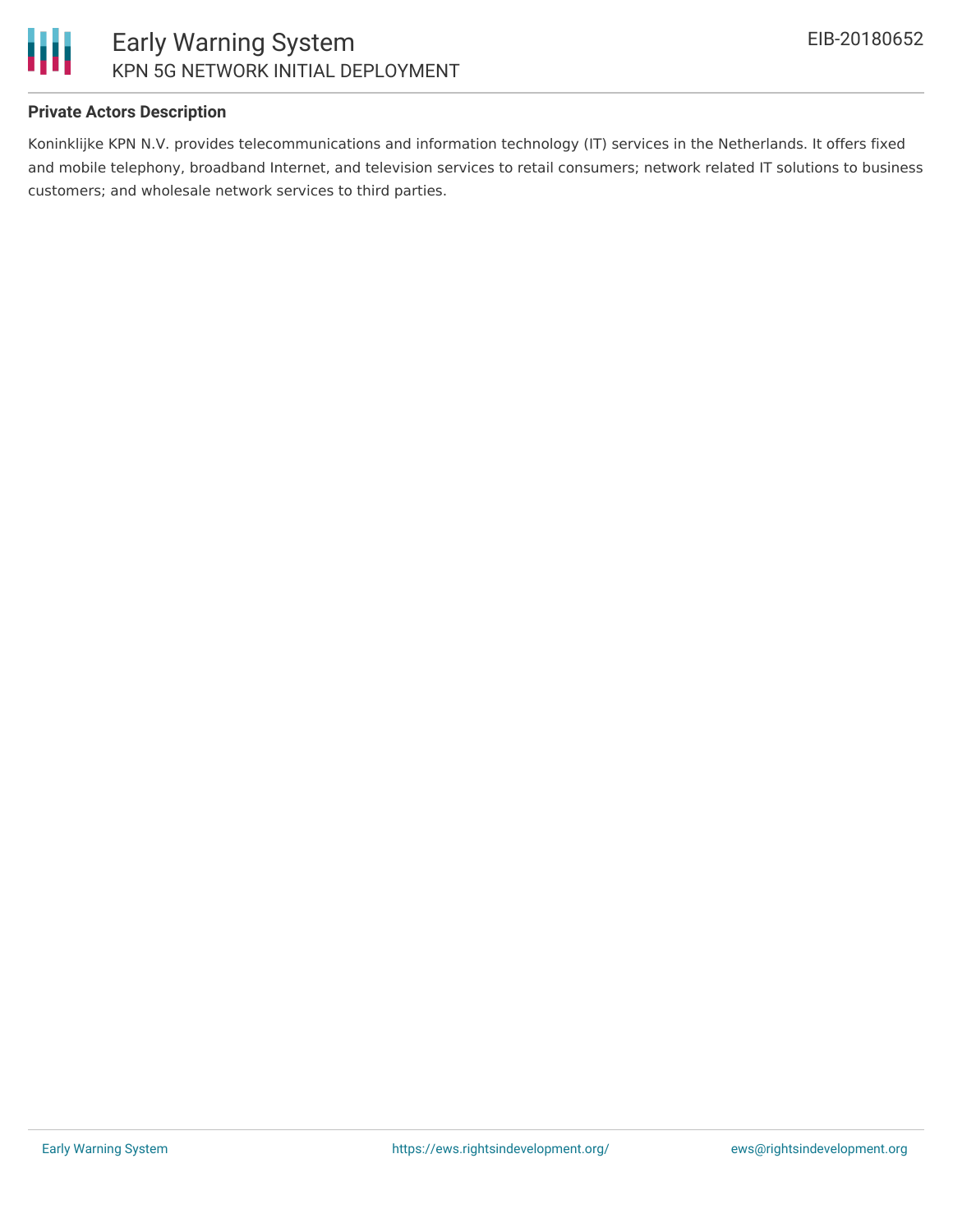

#### **Private Actors Description**

Koninklijke KPN N.V. provides telecommunications and information technology (IT) services in the Netherlands. It offers fixed and mobile telephony, broadband Internet, and television services to retail consumers; network related IT solutions to business customers; and wholesale network services to third parties.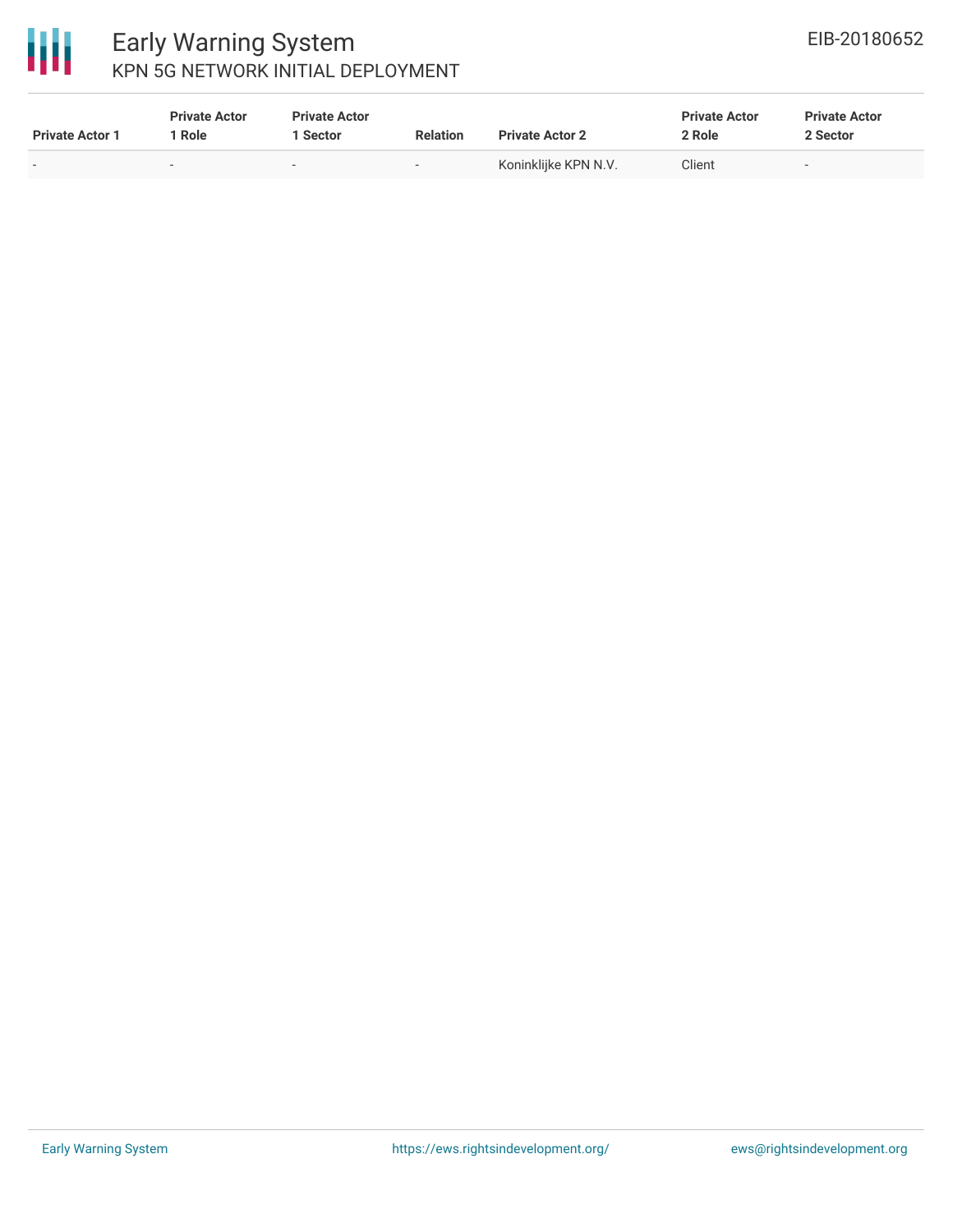

### Early Warning System KPN 5G NETWORK INITIAL DEPLOYMENT

| <b>Private Actor 1</b> | <b>Private Actor</b><br>1 Role | <b>Private Actor</b><br>Sector | <b>Relation</b>          | <b>Private Actor 2</b> | <b>Private Actor</b><br>2 Role | <b>Private Actor</b><br>2 Sector |  |
|------------------------|--------------------------------|--------------------------------|--------------------------|------------------------|--------------------------------|----------------------------------|--|
|                        |                                |                                | $\overline{\phantom{0}}$ | Koninklijke KPN N.V.   | Client                         |                                  |  |